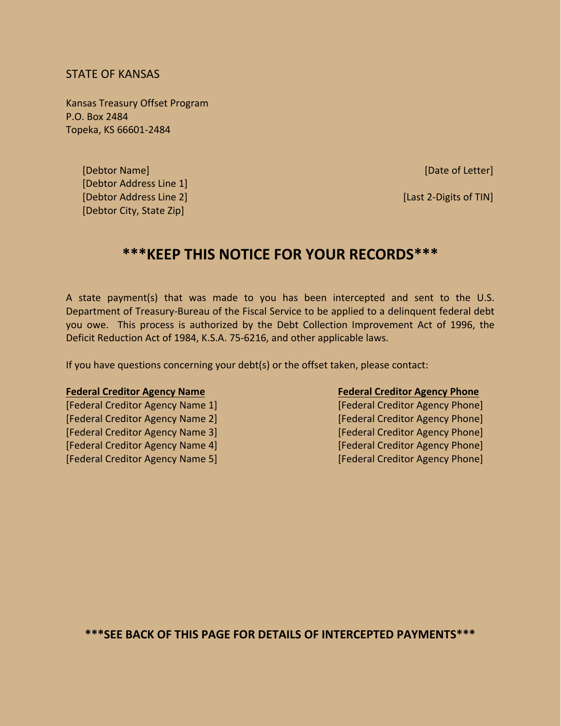# STATE OF KANSAS

Kansas Treasury Offset Program P.O. Box 2484 Topeka, KS 66601-2484

> [Debtor Name] [Date of Letter] [Debtor Address Line 1] [Debtor Address Line 2] [Last 2-Digits of TIN] [Debtor City, State Zip]

# **\*\*\*KEEP THIS NOTICE FOR YOUR RECORDS\*\*\***

A state payment(s) that was made to you has been intercepted and sent to the U.S. Department of Treasury-Bureau of the Fiscal Service to be applied to a delinquent federal debt you owe. This process is authorized by the Debt Collection Improvement Act of 1996, the Deficit Reduction Act of 1984, K.S.A. 75-6216, and other applicable laws.

If you have questions concerning your debt(s) or the offset taken, please contact:

[Federal Creditor Agency Name 1] [Federal Creditor Agency Phone] [Federal Creditor Agency Name 2] [Federal Creditor Agency Phone] [Federal Creditor Agency Name 3] [Federal Creditor Agency Phone] [Federal Creditor Agency Name 4] [Federal Creditor Agency Phone] [Federal Creditor Agency Name 5] [Federal Creditor Agency Phone]

### **Federal Creditor Agency Name Federal Creditor Agency Phone**

**\*\*\*SEE BACK OF THIS PAGE FOR DETAILS OF INTERCEPTED PAYMENTS\*\*\***